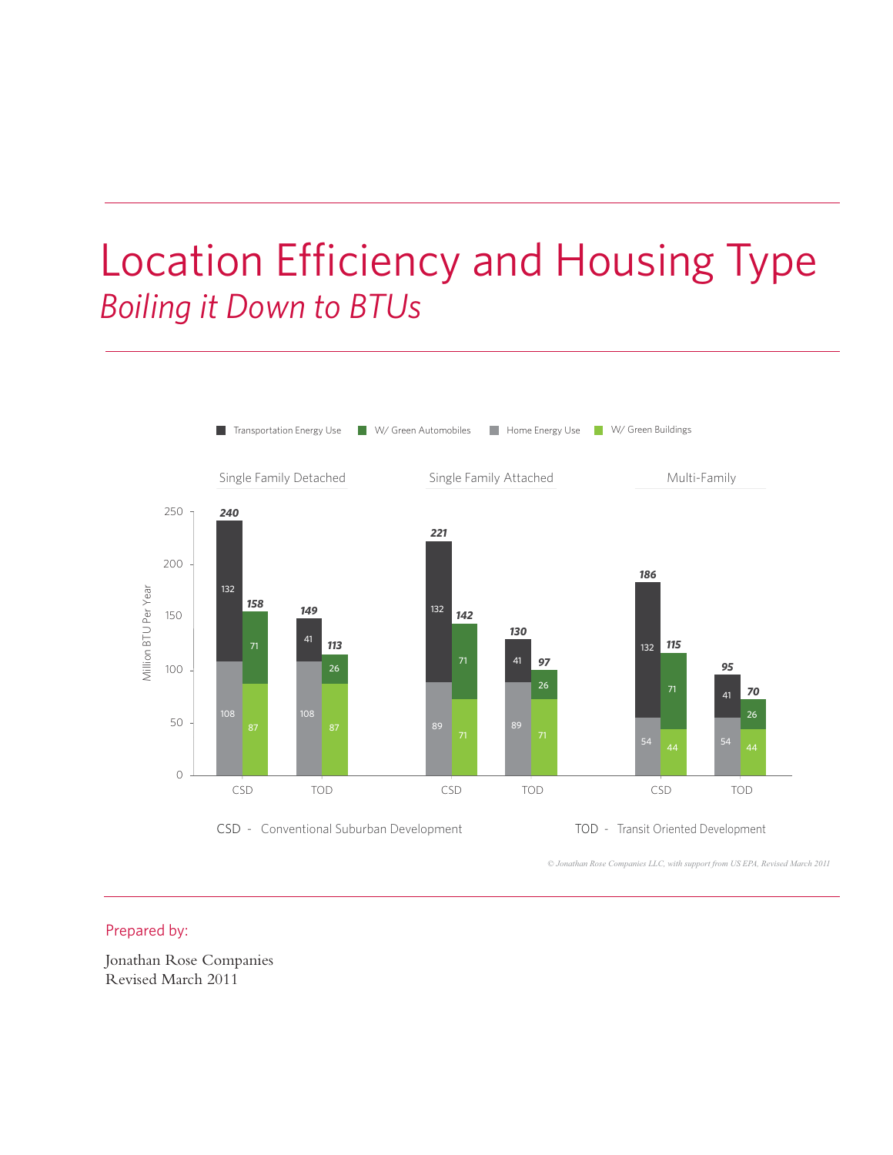# Location Efficiency and Housing Type *Boiling it Down to BTUs*



*© Jonathan Rose Companies LLC, with support from US EPA, Revised March 2011* 

#### Prepared by:

Jonathan Rose Companies Revised March 2011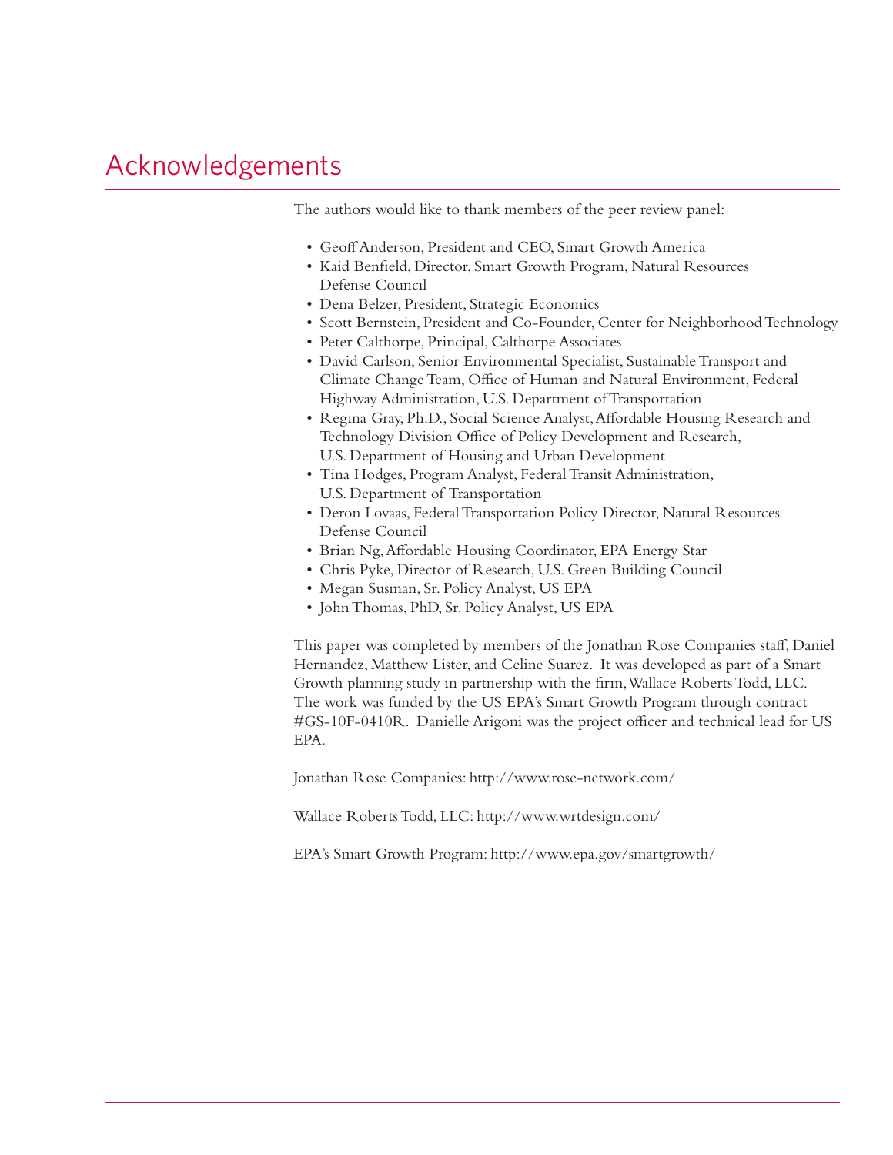# Acknowledgements

The authors would like to thank members of the peer review panel:

- Geoff Anderson, President and CEO, Smart Growth America
- Kaid Benfield, Director, Smart Growth Program, Natural Resources Defense Council
- Dena Belzer, President, Strategic Economics
- Scott Bernstein, President and Co-Founder, Center for Neighborhood Technology
- Peter Calthorpe, Principal, Calthorpe Associates
- David Carlson, Senior Environmental Specialist, Sustainable Transport and Climate Change Team, Office of Human and Natural Environment, Federal Highway Administration, U.S. Department of Transportation
- Regina Gray, Ph.D., Social Science Analyst, Affordable Housing Research and Technology Division Office of Policy Development and Research, U.S. Department of Housing and Urban Development
- Tina Hodges, Program Analyst, Federal Transit Administration, U.S. Department of Transportation
- Deron Lovaas, Federal Transportation Policy Director, Natural Resources Defense Council
- Brian Ng, Affordable Housing Coordinator, EPA Energy Star
- Chris Pyke, Director of Research, U.S. Green Building Council
- Megan Susman, Sr. Policy Analyst, US EPA
- John Thomas, PhD, Sr. Policy Analyst, US EPA

This paper was completed by members of the Jonathan Rose Companies staff, Daniel Hernandez, Matthew Lister, and Celine Suarez. It was developed as part of a Smart Growth planning study in partnership with the firm, Wallace Roberts Todd, LLC. The work was funded by the US EPA's Smart Growth Program through contract #GS-10F-0410R. Danielle Arigoni was the project officer and technical lead for US EPA.

Jonathan Rose Companies: http://www.rose-network.com/

Wallace Roberts Todd, LLC: http://www.wrtdesign.com/

EPA's Smart Growth Program: http://www.epa.gov/smartgrowth/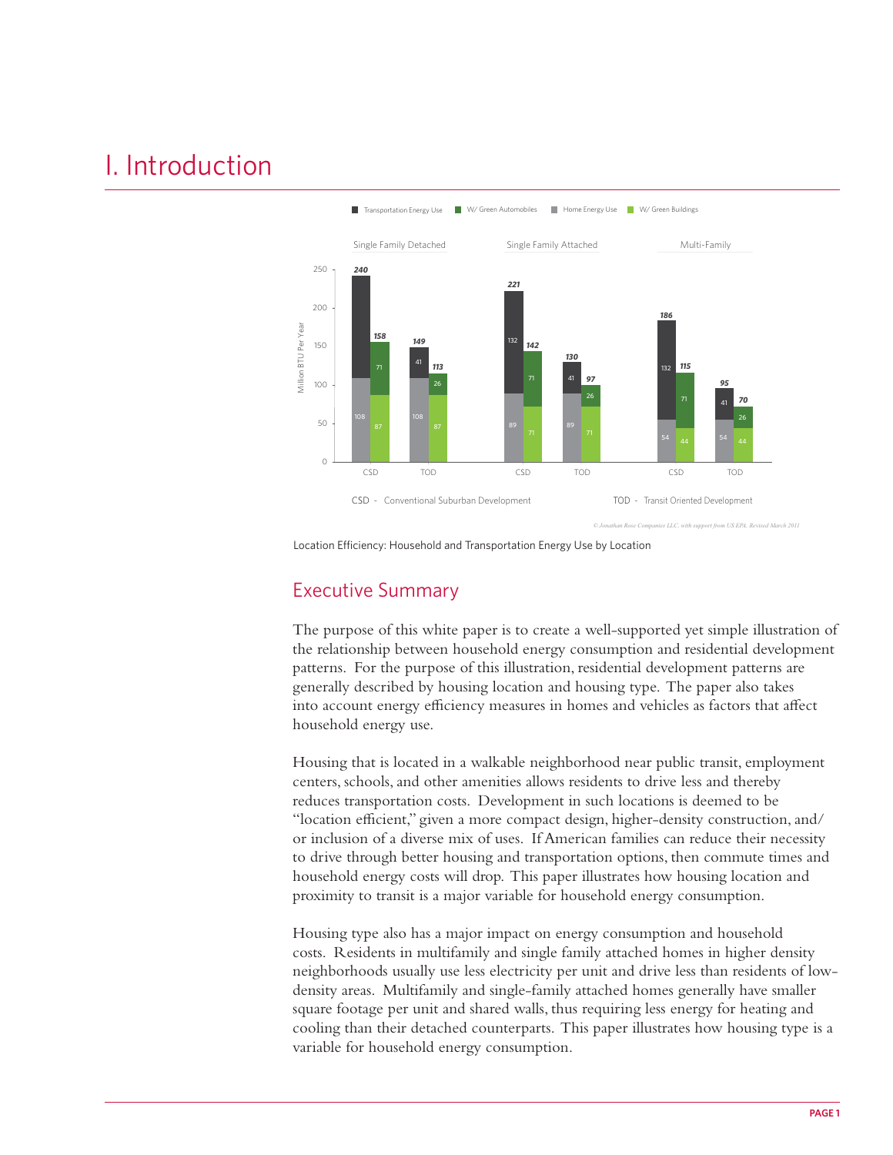# I. Introduction



Location Efficiency: Household and Transportation Energy Use by Location

### Executive Summary

The purpose of this white paper is to create a well-supported yet simple illustration of the relationship between household energy consumption and residential development patterns. For the purpose of this illustration, residential development patterns are generally described by housing location and housing type. The paper also takes into account energy efficiency measures in homes and vehicles as factors that affect household energy use.

Housing that is located in a walkable neighborhood near public transit, employment centers, schools, and other amenities allows residents to drive less and thereby reduces transportation costs. Development in such locations is deemed to be "location efficient," given a more compact design, higher-density construction, and/ or inclusion of a diverse mix of uses. If American families can reduce their necessity to drive through better housing and transportation options, then commute times and household energy costs will drop. This paper illustrates how housing location and proximity to transit is a major variable for household energy consumption.

Housing type also has a major impact on energy consumption and household costs. Residents in multifamily and single family attached homes in higher density neighborhoods usually use less electricity per unit and drive less than residents of lowdensity areas. Multifamily and single-family attached homes generally have smaller square footage per unit and shared walls, thus requiring less energy for heating and cooling than their detached counterparts. This paper illustrates how housing type is a variable for household energy consumption.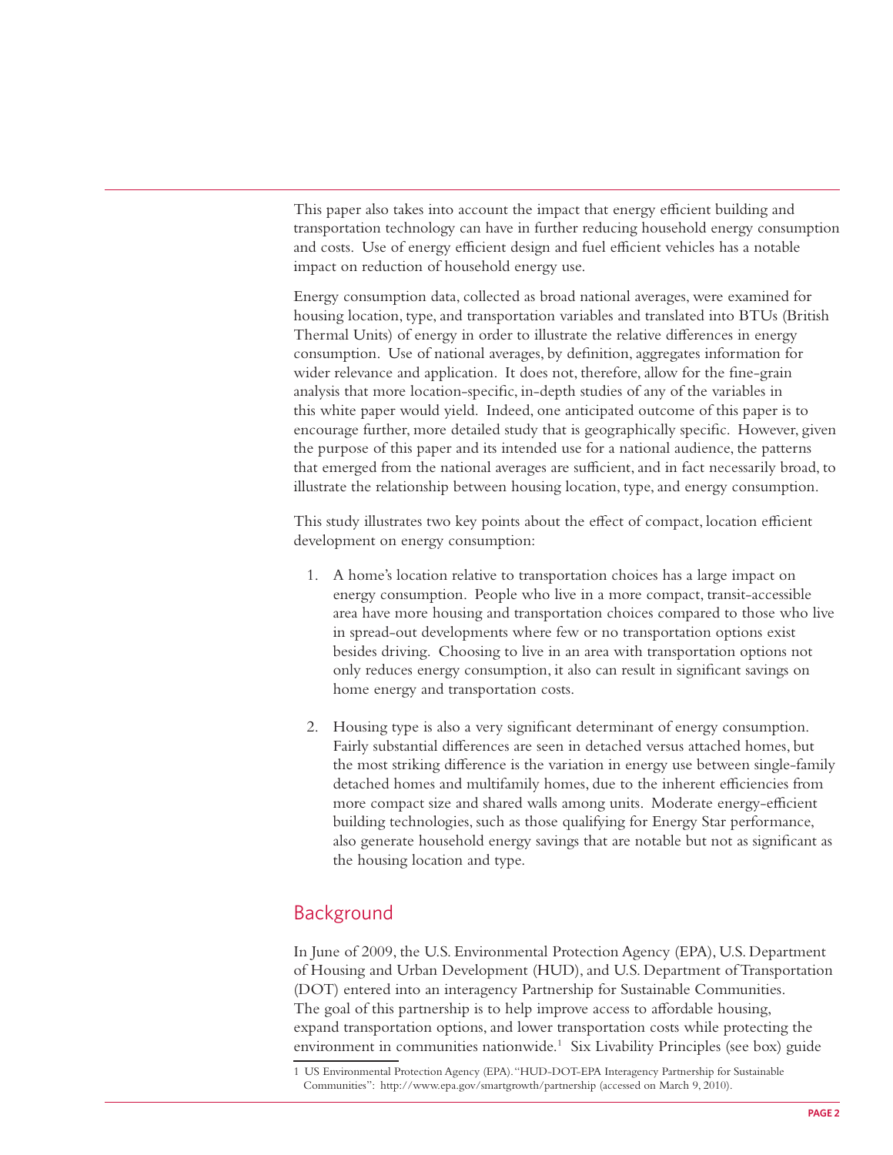This paper also takes into account the impact that energy efficient building and transportation technology can have in further reducing household energy consumption and costs. Use of energy efficient design and fuel efficient vehicles has a notable impact on reduction of household energy use.

Energy consumption data, collected as broad national averages, were examined for housing location, type, and transportation variables and translated into BTUs (British Thermal Units) of energy in order to illustrate the relative differences in energy consumption. Use of national averages, by definition, aggregates information for wider relevance and application. It does not, therefore, allow for the fine-grain analysis that more location-specific, in-depth studies of any of the variables in this white paper would yield. Indeed, one anticipated outcome of this paper is to encourage further, more detailed study that is geographically specific. However, given the purpose of this paper and its intended use for a national audience, the patterns that emerged from the national averages are sufficient, and in fact necessarily broad, to illustrate the relationship between housing location, type, and energy consumption.

This study illustrates two key points about the effect of compact, location efficient development on energy consumption:

- 1. A home's location relative to transportation choices has a large impact on energy consumption. People who live in a more compact, transit-accessible area have more housing and transportation choices compared to those who live in spread-out developments where few or no transportation options exist besides driving. Choosing to live in an area with transportation options not only reduces energy consumption, it also can result in significant savings on home energy and transportation costs.
- 2. Housing type is also a very significant determinant of energy consumption. Fairly substantial differences are seen in detached versus attached homes, but the most striking difference is the variation in energy use between single-family detached homes and multifamily homes, due to the inherent efficiencies from more compact size and shared walls among units. Moderate energy-efficient building technologies, such as those qualifying for Energy Star performance, also generate household energy savings that are notable but not as significant as the housing location and type.

### Background

In June of 2009, the U.S. Environmental Protection Agency (EPA), U.S. Department of Housing and Urban Development (HUD), and U.S. Department of Transportation (DOT) entered into an interagency Partnership for Sustainable Communities. The goal of this partnership is to help improve access to affordable housing, expand transportation options, and lower transportation costs while protecting the environment in communities nationwide.<sup>1</sup> Six Livability Principles (see box) guide

<sup>1</sup> US Environmental Protection Agency (EPA). "HUD-DOT-EPA Interagency Partnership for Sustainable Communities": http://www.epa.gov/smartgrowth/partnership (accessed on March 9, 2010).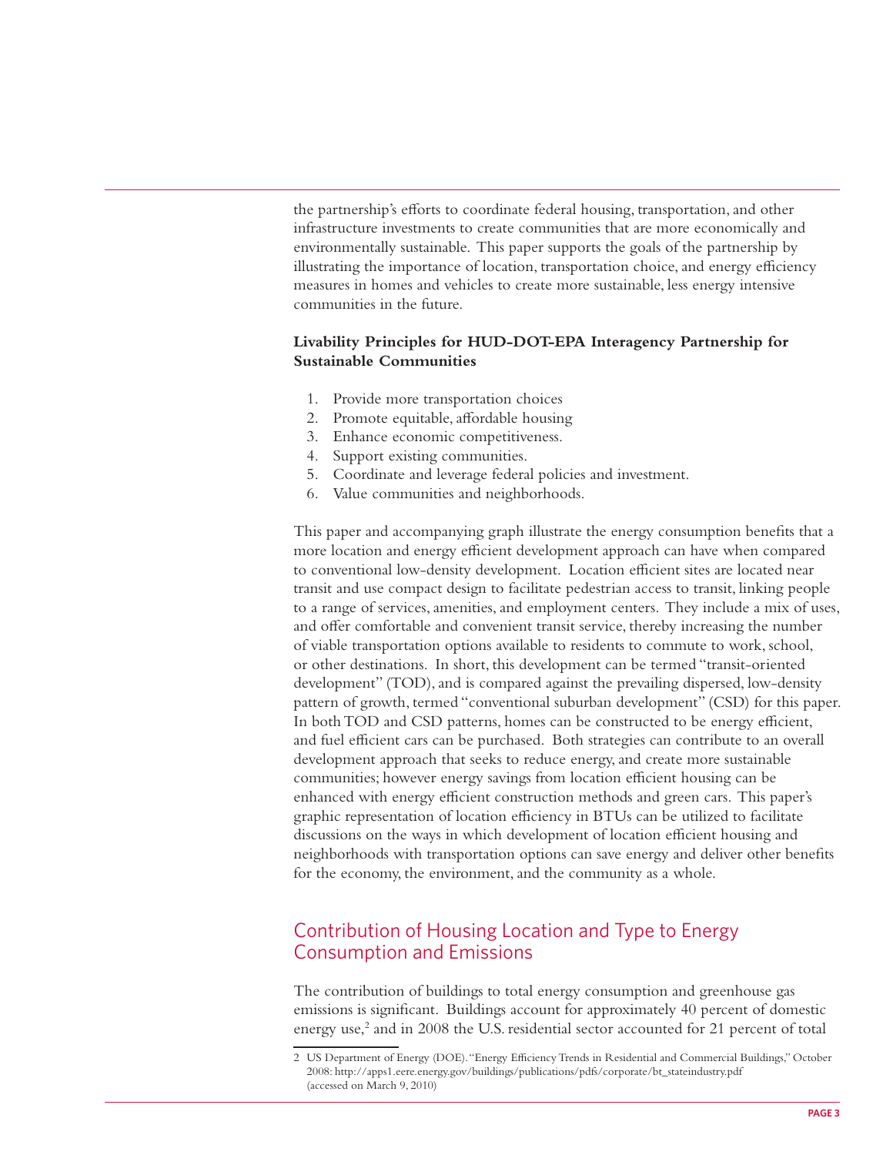the partnership's efforts to coordinate federal housing, transportation, and other infrastructure investments to create communities that are more economically and environmentally sustainable. This paper supports the goals of the partnership by illustrating the importance of location, transportation choice, and energy efficiency measures in homes and vehicles to create more sustainable, less energy intensive communities in the future.

#### **Livability Principles for HUD-DOT-EPA Interagency Partnership for Sustainable Communities**

- 1. Provide more transportation choices
- 2. Promote equitable, affordable housing
- 3. Enhance economic competitiveness.
- 4. Support existing communities.
- 5. Coordinate and leverage federal policies and investment.
- 6. Value communities and neighborhoods.

This paper and accompanying graph illustrate the energy consumption benefits that a more location and energy efficient development approach can have when compared to conventional low-density development. Location efficient sites are located near transit and use compact design to facilitate pedestrian access to transit, linking people to a range of services, amenities, and employment centers. They include a mix of uses, and offer comfortable and convenient transit service, thereby increasing the number of viable transportation options available to residents to commute to work, school, or other destinations. In short, this development can be termed "transit-oriented development" (TOD), and is compared against the prevailing dispersed, low-density pattern of growth, termed "conventional suburban development" (CSD) for this paper. In both TOD and CSD patterns, homes can be constructed to be energy efficient, and fuel efficient cars can be purchased. Both strategies can contribute to an overall development approach that seeks to reduce energy, and create more sustainable communities; however energy savings from location efficient housing can be enhanced with energy efficient construction methods and green cars. This paper's graphic representation of location efficiency in BTUs can be utilized to facilitate discussions on the ways in which development of location efficient housing and neighborhoods with transportation options can save energy and deliver other benefits for the economy, the environment, and the community as a whole.

### Contribution of Housing Location and Type to Energy Consumption and Emissions

The contribution of buildings to total energy consumption and greenhouse gas emissions is significant. Buildings account for approximately 40 percent of domestic energy use,<sup>2</sup> and in 2008 the U.S. residential sector accounted for 21 percent of total

<sup>2</sup> US Department of Energy (DOE). "Energy Efficiency Trends in Residential and Commercial Buildings," October 2008: http://apps1.eere.energy.gov/buildings/publications/pdfs/corporate/bt\_stateindustry.pdf (accessed on March 9, 2010)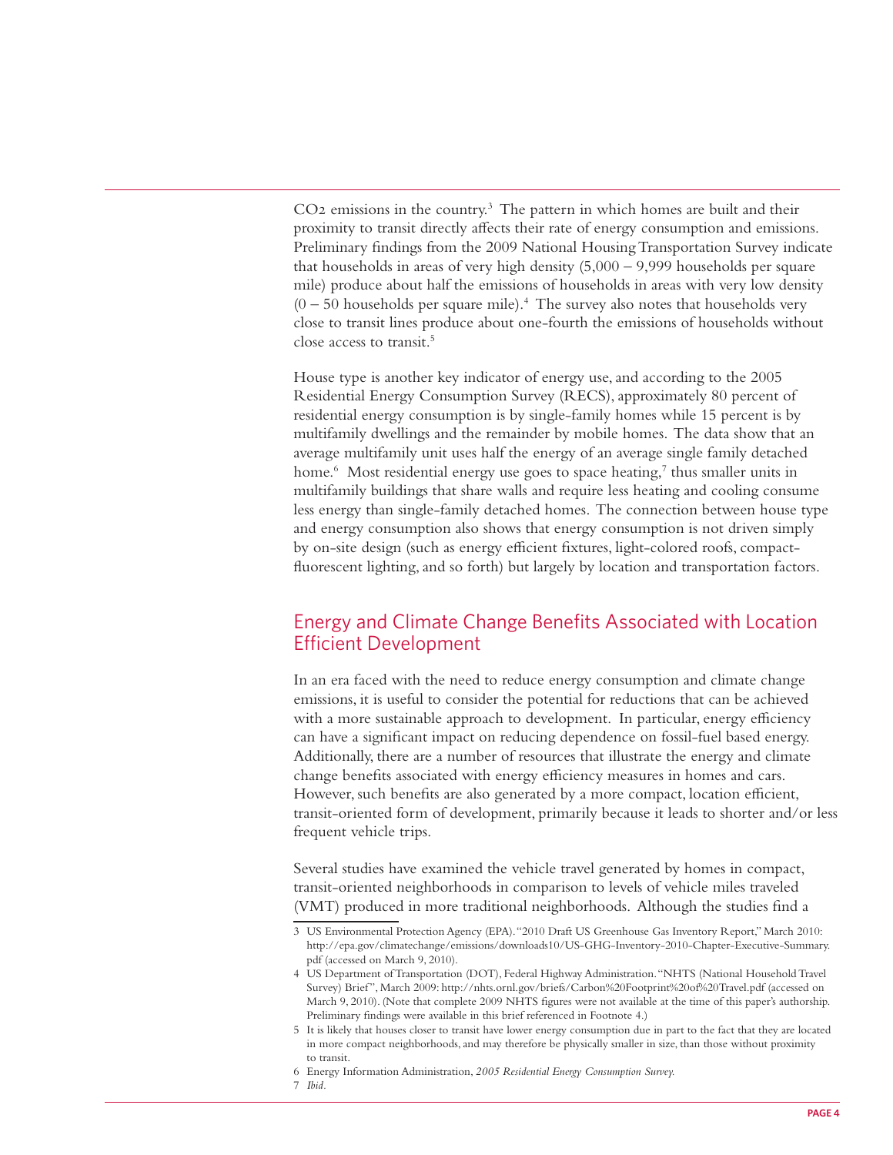$CO<sub>2</sub>$  emissions in the country.<sup>3</sup> The pattern in which homes are built and their proximity to transit directly affects their rate of energy consumption and emissions. Preliminary findings from the 2009 National Housing Transportation Survey indicate that households in areas of very high density  $(5,000 - 9,999$  households per square mile) produce about half the emissions of households in areas with very low density  $(0 - 50$  households per square mile).<sup>4</sup> The survey also notes that households very close to transit lines produce about one-fourth the emissions of households without close access to transit.<sup>5</sup>

House type is another key indicator of energy use, and according to the 2005 Residential Energy Consumption Survey (RECS), approximately 80 percent of residential energy consumption is by single-family homes while 15 percent is by multifamily dwellings and the remainder by mobile homes. The data show that an average multifamily unit uses half the energy of an average single family detached home.<sup>6</sup> Most residential energy use goes to space heating,<sup>7</sup> thus smaller units in multifamily buildings that share walls and require less heating and cooling consume less energy than single-family detached homes. The connection between house type and energy consumption also shows that energy consumption is not driven simply by on-site design (such as energy efficient fixtures, light-colored roofs, compactfluorescent lighting, and so forth) but largely by location and transportation factors.

### Energy and Climate Change Benefits Associated with Location Efficient Development

In an era faced with the need to reduce energy consumption and climate change emissions, it is useful to consider the potential for reductions that can be achieved with a more sustainable approach to development. In particular, energy efficiency can have a significant impact on reducing dependence on fossil-fuel based energy. Additionally, there are a number of resources that illustrate the energy and climate change benefits associated with energy efficiency measures in homes and cars. However, such benefits are also generated by a more compact, location efficient, transit-oriented form of development, primarily because it leads to shorter and/or less frequent vehicle trips.

Several studies have examined the vehicle travel generated by homes in compact, transit-oriented neighborhoods in comparison to levels of vehicle miles traveled (VMT) produced in more traditional neighborhoods. Although the studies find a

<sup>3</sup> US Environmental Protection Agency (EPA). "2010 Draft US Greenhouse Gas Inventory Report," March 2010: http://epa.gov/climatechange/emissions/downloads10/US-GHG-Inventory-2010-Chapter-Executive-Summary. pdf (accessed on March 9, 2010).

<sup>4</sup> US Department of Transportation (DOT), Federal Highway Administration. "NHTS (National Household Travel Survey) Brief", March 2009: http://nhts.ornl.gov/briefs/Carbon%20Footprint%20of%20Travel.pdf (accessed on March 9, 2010). (Note that complete 2009 NHTS figures were not available at the time of this paper's authorship. Preliminary findings were available in this brief referenced in Footnote 4.)

<sup>5</sup> It is likely that houses closer to transit have lower energy consumption due in part to the fact that they are located in more compact neighborhoods, and may therefore be physically smaller in size, than those without proximity to transit.

<sup>6</sup>  Energy Information Administration, *2005 Residential Energy Consumption Survey.* 

<sup>7</sup> *Ibid.*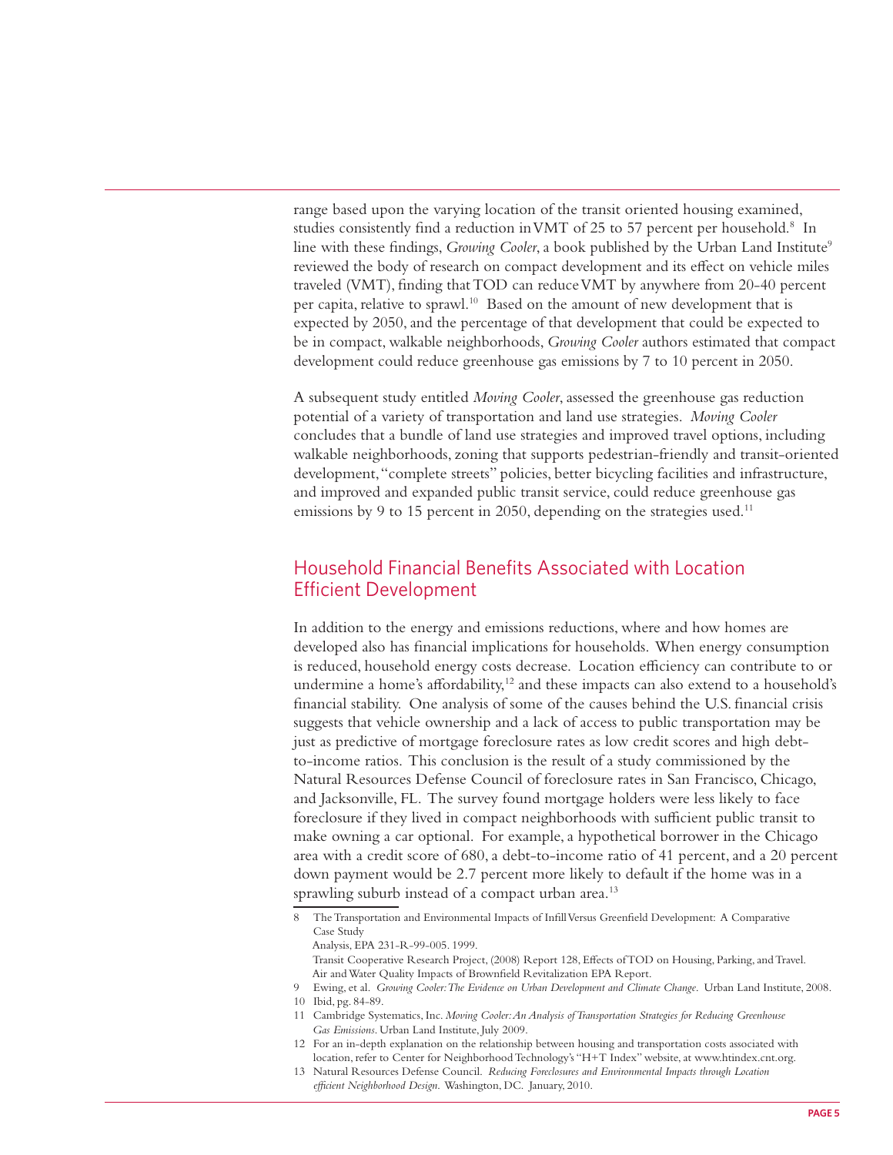range based upon the varying location of the transit oriented housing examined, studies consistently find a reduction in VMT of 25 to 57 percent per household.<sup>8</sup> In line with these findings, *Growing Cooler*, a book published by the Urban Land Institute<sup>9</sup> reviewed the body of research on compact development and its effect on vehicle miles traveled (VMT), finding that TOD can reduce VMT by anywhere from 20-40 percent per capita, relative to sprawl.<sup>10</sup> Based on the amount of new development that is expected by 2050, and the percentage of that development that could be expected to be in compact, walkable neighborhoods, *Growing Cooler* authors estimated that compact development could reduce greenhouse gas emissions by 7 to 10 percent in 2050.

A subsequent study entitled *Moving Cooler*, assessed the greenhouse gas reduction potential of a variety of transportation and land use strategies. Moving Cooler concludes that a bundle of land use strategies and improved travel options, including walkable neighborhoods, zoning that supports pedestrian-friendly and transit-oriented development, "complete streets" policies, better bicycling facilities and infrastructure, and improved and expanded public transit service, could reduce greenhouse gas emissions by 9 to 15 percent in 2050, depending on the strategies used.<sup>11</sup>

### Household Financial Benefits Associated with Location Efficient Development

sprawling suburb instead of a compact urban area.<sup>13</sup> In addition to the energy and emissions reductions, where and how homes are developed also has financial implications for households. When energy consumption is reduced, household energy costs decrease. Location efficiency can contribute to or undermine a home's affordability, $12$  and these impacts can also extend to a household's financial stability. One analysis of some of the causes behind the U.S. financial crisis suggests that vehicle ownership and a lack of access to public transportation may be just as predictive of mortgage foreclosure rates as low credit scores and high debtto-income ratios. This conclusion is the result of a study commissioned by the Natural Resources Defense Council of foreclosure rates in San Francisco, Chicago, and Jacksonville, FL. The survey found mortgage holders were less likely to face foreclosure if they lived in compact neighborhoods with sufficient public transit to make owning a car optional. For example, a hypothetical borrower in the Chicago area with a credit score of  $680$ , a debt-to-income ratio of 41 percent, and a 20 percent down payment would be 2.7 percent more likely to default if the home was in a

 8 The Transportation and Environmental Impacts of Infill Versus Greenfield Development: A Comparative Case Study

Analysis, EPA 231-R-99-005. 1999.

Transit Cooperative Research Project, (2008) Report 128, Effects of TOD on Housing, Parking, and Travel. Air and Water Quality Impacts of Brownfield Revitalization EPA Report.

<sup>9</sup> Ewing, et al. *Growing Cooler: The Evidence on Urban Development and Climate Change*. Urban Land Institute, 2008. 10 Ibid. pg. 84-89.

<sup>11</sup> Cambridge Systematics, Inc. *Moving Cooler: An Analysis of Transportation Strategies for Reducing Greenhouse* Gas Emissions. Urban Land Institute, July 2009.

<sup>12</sup> For an in-depth explanation on the relationship between housing and transportation costs associated with location, refer to Center for Neighborhood Technology's "H+T Index" website, at www.htindex.cnt.org.

<sup>13</sup> Natural Resources Defense Council. Reducing Foreclosures and Environmental Impacts through Location efficient Neighborhood Design. Washington, DC. January, 2010.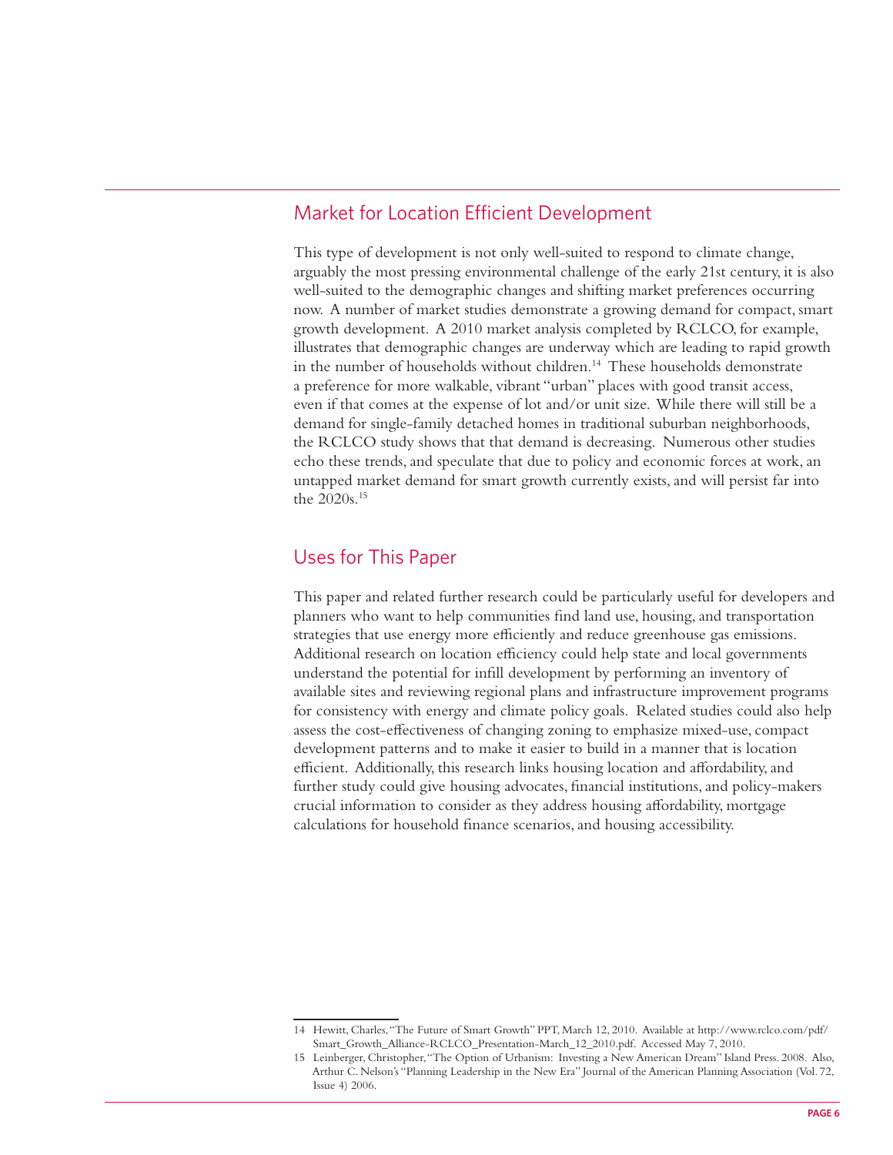### Market for Location Efficient Development

in the number of households without children.<sup>14</sup> These households demonstrate the 2020s.<sup>15</sup> This type of development is not only well-suited to respond to climate change, arguably the most pressing environmental challenge of the early 21st century, it is also well-suited to the demographic changes and shifting market preferences occurring now. A number of market studies demonstrate a growing demand for compact, smart growth development. A 2010 market analysis completed by RCLCO, for example, illustrates that demographic changes are underway which are leading to rapid growth a preference for more walkable, vibrant "urban" places with good transit access, even if that comes at the expense of lot and/or unit size. While there will still be a demand for single-family detached homes in traditional suburban neighborhoods, the RCLCO study shows that that demand is decreasing. Numerous other studies echo these trends, and speculate that due to policy and economic forces at work, an untapped market demand for smart growth currently exists, and will persist far into

### Uses for This Paper

This paper and related further research could be particularly useful for developers and planners who want to help communities find land use, housing, and transportation strategies that use energy more efficiently and reduce greenhouse gas emissions. Additional research on location efficiency could help state and local governments understand the potential for infill development by performing an inventory of available sites and reviewing regional plans and infrastructure improvement programs for consistency with energy and climate policy goals. Related studies could also help assess the cost-effectiveness of changing zoning to emphasize mixed-use, compact development patterns and to make it easier to build in a manner that is location efficient. Additionally, this research links housing location and affordability, and further study could give housing advocates, financial institutions, and policy-makers crucial information to consider as they address housing affordability, mortgage calculations for household finance scenarios, and housing accessibility.

<sup>14</sup> Hewitt, Charles, "The Future of Smart Growth" PPT, March 12, 2010. Available at http://www.rclco.com/pdf/ Smart\_Growth\_Alliance-RCLCO\_Presentation-March\_12\_2010.pdf. Accessed May 7, 2010.

<sup>15</sup> Leinberger, Christopher, "The Option of Urbanism: Investing a New American Dream" Island Press. 2008. Also, Arthur C. Nelson's "Planning Leadership in the New Era" Journal of the American Planning Association (Vol. 72, Issue 4) 2006.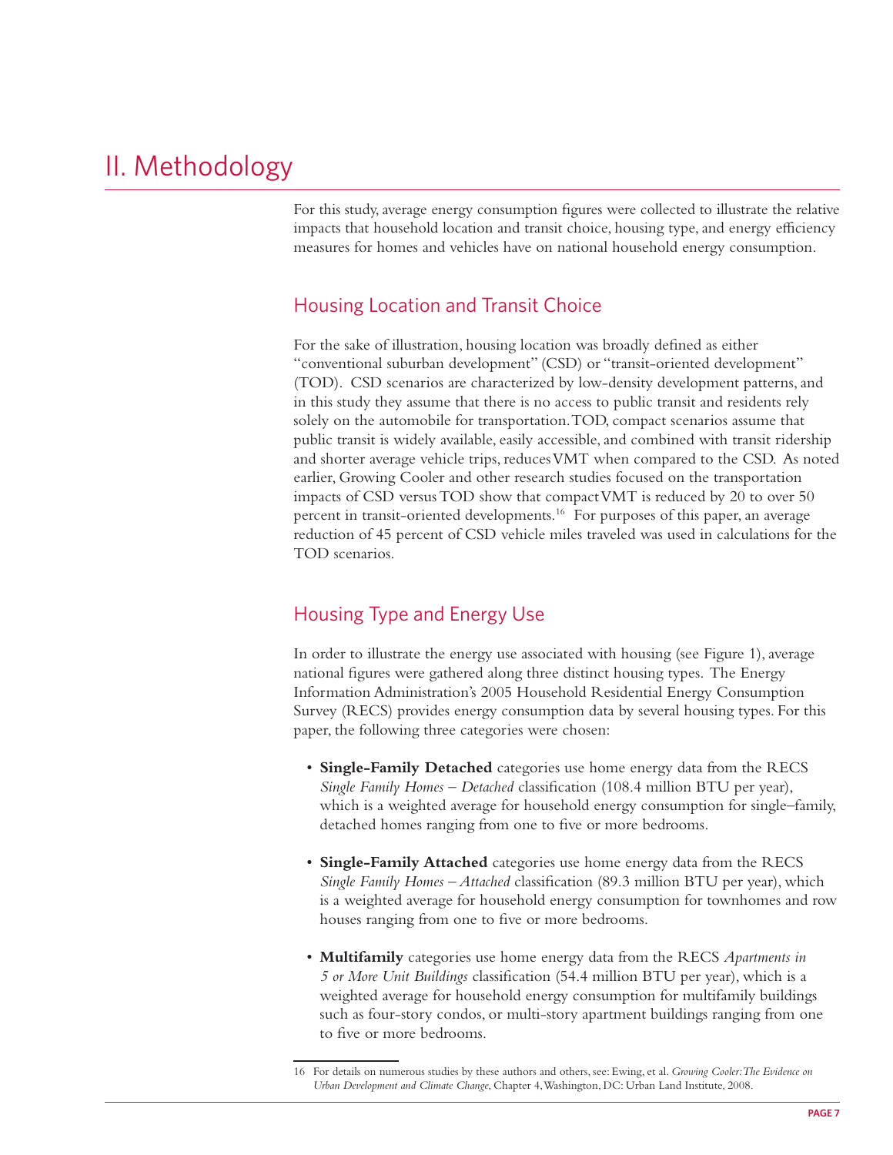# II. Methodology

For this study, average energy consumption figures were collected to illustrate the relative impacts that household location and transit choice, housing type, and energy efficiency measures for homes and vehicles have on national household energy consumption.

### Housing Location and Transit Choice

For the sake of illustration, housing location was broadly defined as either "conventional suburban development" (CSD) or "transit-oriented development" (TOD). CSD scenarios are characterized by low-density development patterns, and in this study they assume that there is no access to public transit and residents rely solely on the automobile for transportation. TOD, compact scenarios assume that public transit is widely available, easily accessible, and combined with transit ridership and shorter average vehicle trips, reduces VMT when compared to the CSD. As noted earlier, Growing Cooler and other research studies focused on the transportation impacts of CSD versus TOD show that compact VMT is reduced by 20 to over 50 percent in transit-oriented developments.<sup>16</sup> For purposes of this paper, an average reduction of 45 percent of CSD vehicle miles traveled was used in calculations for the TOD scenarios.

### Housing Type and Energy Use

In order to illustrate the energy use associated with housing (see Figure 1), average national figures were gathered along three distinct housing types. The Energy Information Administration's 2005 Household Residential Energy Consumption Survey (RECS) provides energy consumption data by several housing types. For this paper, the following three categories were chosen:

- **Single-Family Detached** categories use home energy data from the RECS *Single Family Homes - Detached* classification (108.4 million BTU per year), which is a weighted average for household energy consumption for single–family, detached homes ranging from one to five or more bedrooms.
- **Single-Family Attached** categories use home energy data from the RECS *Single Family Homes - Attached* classification (89.3 million BTU per year), which is a weighted average for household energy consumption for townhomes and row houses ranging from one to five or more bedrooms.
- **Multifamily** categories use home energy data from the RECS *Apartments in 5 or More Unit Buildings* classification (54.4 million BTU per year), which is a weighted average for household energy consumption for multifamily buildings such as four-story condos, or multi-story apartment buildings ranging from one to five or more bedrooms.

<sup>16</sup> For details on numerous studies by these authors and others, see: Ewing, et al. *Growing Cooler: The Evidence on Urban Development and Climate Change*, Chapter 4, Washington, DC: Urban Land Institute, 2008.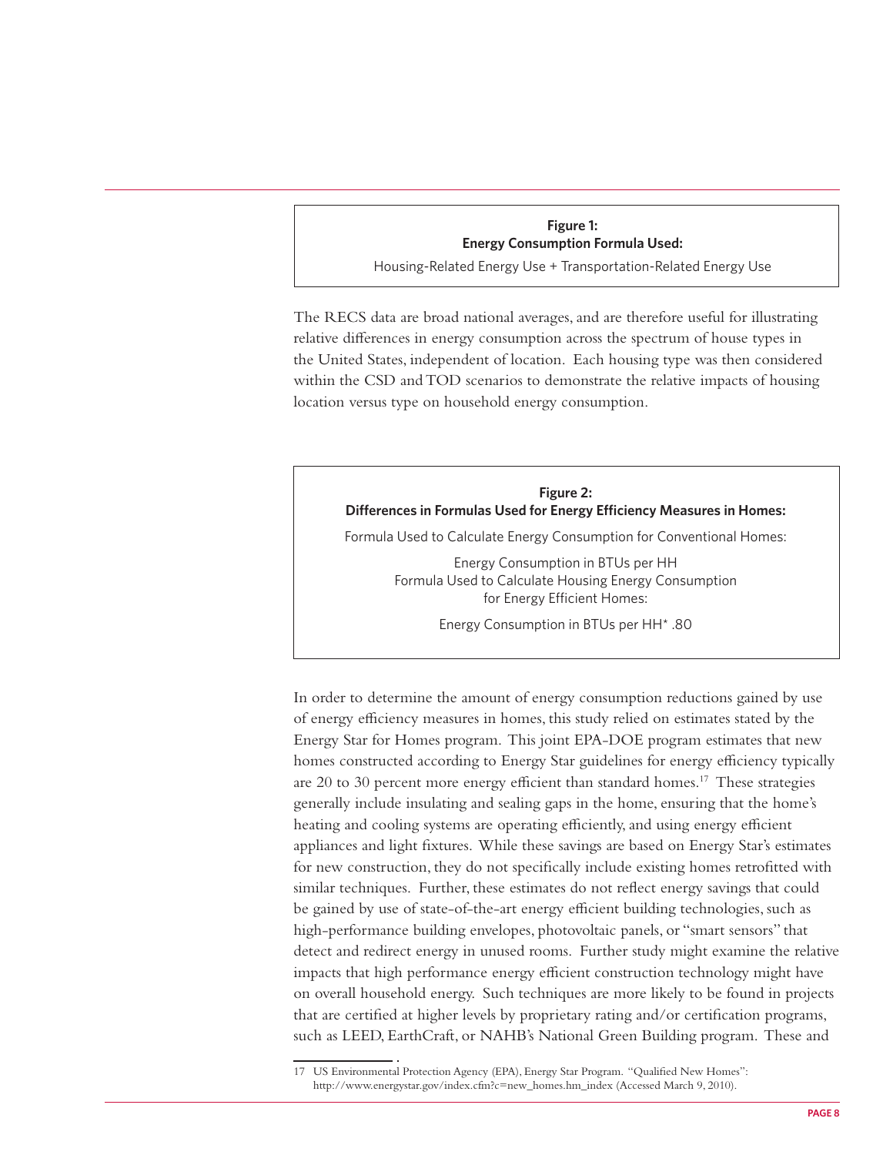#### **Figure 1: Energy Consumption Formula Used:**

Housing-Related Energy Use + Transportation-Related Energy Use

The RECS data are broad national averages, and are therefore useful for illustrating relative differences in energy consumption across the spectrum of house types in the United States, independent of location. Each housing type was then considered within the CSD and TOD scenarios to demonstrate the relative impacts of housing location versus type on household energy consumption.



Energy Consumption in BTUs per HH Formula Used to Calculate Housing Energy Consumption for Energy Efficient Homes:

Energy Consumption in BTUs per HH\* .80

In order to determine the amount of energy consumption reductions gained by use of energy efficiency measures in homes, this study relied on estimates stated by the Energy Star for Homes program. This joint EPA-DOE program estimates that new homes constructed according to Energy Star guidelines for energy efficiency typically are  $20$  to  $30$  percent more energy efficient than standard homes.<sup>17</sup> These strategies generally include insulating and sealing gaps in the home, ensuring that the home's heating and cooling systems are operating efficiently, and using energy efficient appliances and light fixtures. While these savings are based on Energy Star's estimates for new construction, they do not specifically include existing homes retrofitted with similar techniques. Further, these estimates do not reflect energy savings that could be gained by use of state-of-the-art energy efficient building technologies, such as high-performance building envelopes, photovoltaic panels, or "smart sensors" that detect and redirect energy in unused rooms. Further study might examine the relative impacts that high performance energy efficient construction technology might have on overall household energy. Such techniques are more likely to be found in projects that are certified at higher levels by proprietary rating and/or certification programs, such as LEED, EarthCraft, or NAHB's National Green Building program. These and

<sup>17</sup> US Environmental Protection Agency (EPA), Energy Star Program. "Qualified New Homes": http://www.energystar.gov/index.cfm?c=new\_homes.hm\_index (Accessed March 9, 2010).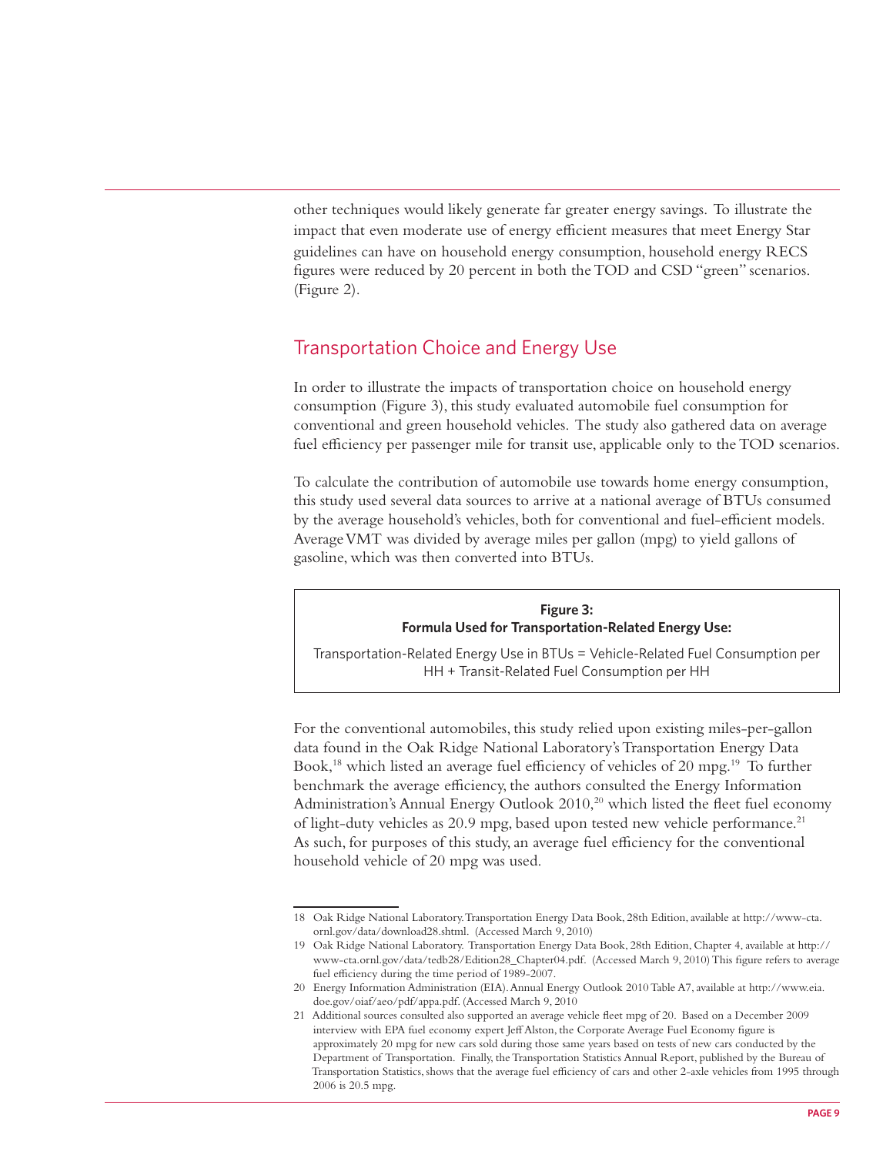other techniques would likely generate far greater energy savings. To illustrate the impact that even moderate use of energy efficient measures that meet Energy Star guidelines can have on household energy consumption, household energy RECS figures were reduced by 20 percent in both the TOD and CSD "green" scenarios. (Figure 2).

### Transportation Choice and Energy Use

In order to illustrate the impacts of transportation choice on household energy consumption (Figure 3), this study evaluated automobile fuel consumption for conventional and green household vehicles. The study also gathered data on average fuel efficiency per passenger mile for transit use, applicable only to the TOD scenarios.

To calculate the contribution of automobile use towards home energy consumption, this study used several data sources to arrive at a national average of BTUs consumed by the average household's vehicles, both for conventional and fuel-efficient models. Average VMT was divided by average miles per gallon (mpg) to yield gallons of gasoline, which was then converted into BTUs.

#### **Figure 3: Formula Used for Transportation-Related Energy Use:**

Transportation-Related Energy Use in BTUs = Vehicle-Related Fuel Consumption per HH + Transit-Related Fuel Consumption per HH

Book,<sup>18</sup> which listed an average fuel efficiency of vehicles of 20 mpg.<sup>19</sup> To further of light-duty vehicles as 20.9 mpg, based upon tested new vehicle performance.<sup>21</sup> For the conventional automobiles, this study relied upon existing miles-per-gallon data found in the Oak Ridge National Laboratory's Transportation Energy Data benchmark the average efficiency, the authors consulted the Energy Information Administration's Annual Energy Outlook  $2010<sup>20</sup>$  which listed the fleet fuel economy As such, for purposes of this study, an average fuel efficiency for the conventional household vehicle of 20 mpg was used.

<sup>18</sup> Oak Ridge National Laboratory. Transportation Energy Data Book, 28th Edition, available at http://www-cta. ornl.gov/data/download28.shtml. (Accessed March 9, 2010)

<sup>19</sup> Oak Ridge National Laboratory. Transportation Energy Data Book, 28th Edition, Chapter 4, available at http:// www-cta.ornl.gov/data/tedb28/Edition28\_Chapter04.pdf. (Accessed March 9, 2010) This figure refers to average fuel efficiency during the time period of 1989-2007.

<sup>20</sup> Energy Information Administration (EIA). Annual Energy Outlook 2010 Table A7, available at http://www.eia. doe.gov/oiaf/aeo/pdf/appa.pdf. (Accessed March 9, 2010

<sup>21</sup> Additional sources consulted also supported an average vehicle fleet mpg of 20. Based on a December 2009 interview with EPA fuel economy expert Jeff Alston, the Corporate Average Fuel Economy figure is approximately 20 mpg for new cars sold during those same years based on tests of new cars conducted by the Department of Transportation. Finally, the Transportation Statistics Annual Report, published by the Bureau of Transportation Statistics, shows that the average fuel efficiency of cars and other 2-axle vehicles from 1995 through 2006 is 20.5 mpg.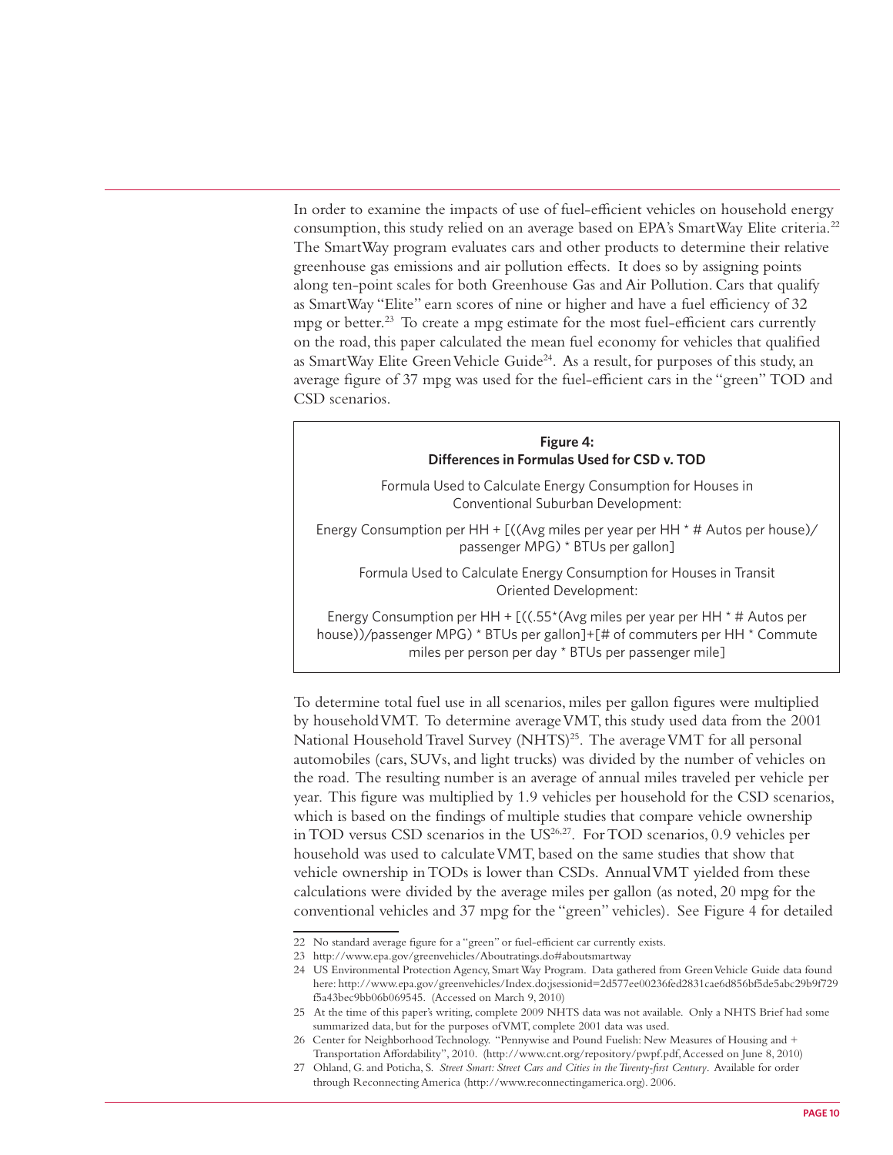In order to examine the impacts of use of fuel-efficient vehicles on household energy consumption, this study relied on an average based on EPA's SmartWay Elite criteria.<sup>22</sup> The SmartWay program evaluates cars and other products to determine their relative greenhouse gas emissions and air pollution effects. It does so by assigning points along ten-point scales for both Greenhouse Gas and Air Pollution. Cars that qualify as SmartWay "Elite" earn scores of nine or higher and have a fuel efficiency of 32 mpg or better.<sup>23</sup> To create a mpg estimate for the most fuel-efficient cars currently on the road, this paper calculated the mean fuel economy for vehicles that qualified as SmartWay Elite Green Vehicle Guide<sup>24</sup>. As a result, for purposes of this study, an average figure of 37 mpg was used for the fuel-efficient cars in the "green" TOD and CSD scenarios.

| Figure 4:<br>Differences in Formulas Used for CSD v. TOD                                                                                                                                                           |
|--------------------------------------------------------------------------------------------------------------------------------------------------------------------------------------------------------------------|
| Formula Used to Calculate Energy Consumption for Houses in<br>Conventional Suburban Development:                                                                                                                   |
| Energy Consumption per HH + [((Avg miles per year per HH $*$ # Autos per house)/<br>passenger MPG) * BTUs per gallon]                                                                                              |
| Formula Used to Calculate Energy Consumption for Houses in Transit<br>Oriented Development:                                                                                                                        |
| Energy Consumption per HH + $[(-.55*(Avg miles per year per HH * # Autos per$<br>house))/passenger MPG) * BTUs per gallon]+[# of commuters per HH * Commute<br>miles per person per day * BTUs per passenger mile] |

To determine total fuel use in all scenarios, miles per gallon figures were multiplied by household VMT. To determine average VMT, this study used data from the 2001 National Household Travel Survey (NHTS)<sup>25</sup>. The average VMT for all personal automobiles (cars, SUVs, and light trucks) was divided by the number of vehicles on the road. The resulting number is an average of annual miles traveled per vehicle per year. This figure was multiplied by 1.9 vehicles per household for the CSD scenarios, which is based on the findings of multiple studies that compare vehicle ownership in TOD versus CSD scenarios in the  $US^{26,27}$ . For TOD scenarios, 0.9 vehicles per household was used to calculate VMT, based on the same studies that show that vehicle ownership in TODs is lower than CSDs. Annual VMT yielded from these calculations were divided by the average miles per gallon (as noted,  $20 \text{ mpg}$  for the conventional vehicles and 37 mpg for the "green" vehicles). See Figure 4 for detailed

<sup>22</sup> No standard average figure for a "green" or fuel-efficient car currently exists.

<sup>23</sup> http://www.epa.gov/greenvehicles/Aboutratings.do#aboutsmartway

<sup>24</sup> US Environmental Protection Agency, Smart Way Program. Data gathered from Green Vehicle Guide data found here: http://www.epa.gov/greenvehicles/Index.do;jsessionid=2d577ee00236fed2831cae6d856bf5de5abc29b9f729 f5a43bec9bb06b069545. (Accessed on March 9, 2010)

<sup>25</sup> At the time of this paper's writing, complete 2009 NHTS data was not available. Only a NHTS Brief had some summarized data, but for the purposes of VMT, complete 2001 data was used.

<sup>26</sup> Center for Neighborhood Technology. "Pennywise and Pound Fuelish: New Measures of Housing and + Transportation Affordability", 2010. (http://www.cnt.org/repository/pwpf.pdf, Accessed on June 8, 2010)

<sup>27</sup> Ohland, G. and Poticha, S. Street Smart: Street Cars and Cities in the Twenty-first Century. Available for order through Reconnecting America (http://www.reconnectingamerica.org). 2006.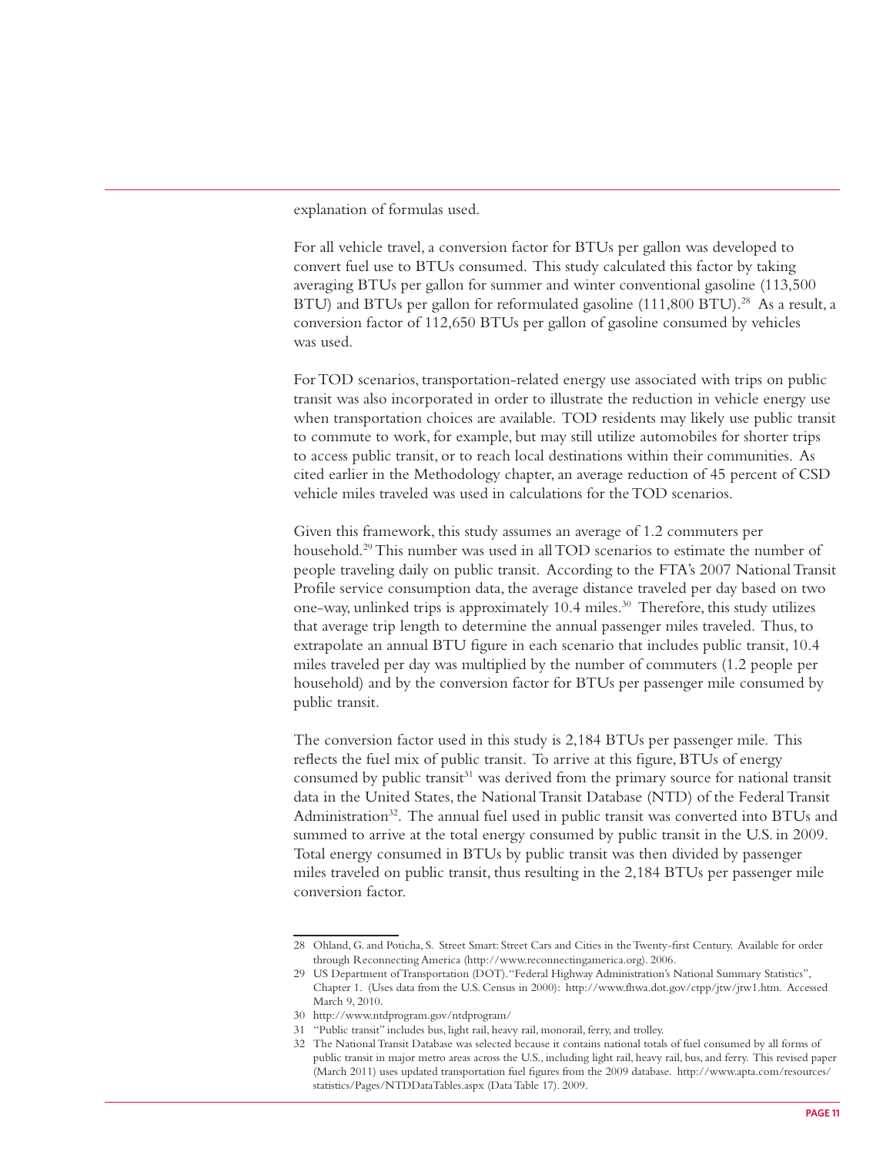explanation of formulas used.

For all vehicle travel, a conversion factor for BTUs per gallon was developed to convert fuel use to BTUs consumed. This study calculated this factor by taking averaging BTUs per gallon for summer and winter conventional gasoline  $(113,500)$ BTU) and BTUs per gallon for reformulated gasoline (111,800 BTU).<sup>28</sup> As a result, a conversion factor of 112,650 BTUs per gallon of gasoline consumed by vehicles was used.

For TOD scenarios, transportation-related energy use associated with trips on public transit was also incorporated in order to illustrate the reduction in vehicle energy use when transportation choices are available. TOD residents may likely use public transit to commute to work, for example, but may still utilize automobiles for shorter trips to access public transit, or to reach local destinations within their communities. As cited earlier in the Methodology chapter, an average reduction of 45 percent of CSD vehicle miles traveled was used in calculations for the TOD scenarios.

Given this framework, this study assumes an average of 1.2 commuters per household.<sup>29</sup> This number was used in all TOD scenarios to estimate the number of people traveling daily on public transit. According to the FTA's 2007 National Transit Profile service consumption data, the average distance traveled per day based on two one-way, unlinked trips is approximately 10.4 miles.<sup>30</sup> Therefore, this study utilizes that average trip length to determine the annual passenger miles traveled. Thus, to extrapolate an annual BTU figure in each scenario that includes public transit, 10.4 miles traveled per day was multiplied by the number of commuters (1.2 people per household) and by the conversion factor for BTUs per passenger mile consumed by public transit.

The conversion factor used in this study is 2,184 BTUs per passenger mile. This reflects the fuel mix of public transit. To arrive at this figure, BTUs of energy consumed by public transit<sup>31</sup> was derived from the primary source for national transit data in the United States, the National Transit Database (NTD) of the Federal Transit Administration<sup>32</sup>. The annual fuel used in public transit was converted into BTUs and summed to arrive at the total energy consumed by public transit in the U.S. in 2009. Total energy consumed in BTUs by public transit was then divided by passenger miles traveled on public transit, thus resulting in the 2,184 BTUs per passenger mile conversion factor.

<sup>28</sup> Ohland, G. and Poticha, S. Street Smart: Street Cars and Cities in the Twenty-first Century. Available for order through Reconnecting America (http://www.reconnectingamerica.org). 2006.

<sup>29</sup> US Department of Transportation (DOT). "Federal Highway Administration's National Summary Statistics", Chapter 1. (Uses data from the U.S. Census in 2000): http://www.fhwa.dot.gov/ctpp/jtw/jtw1.htm. Accessed March 9, 2010.

 30 http://www.ntdprogram.gov/ntdprogram/ 

<sup>31 &</sup>quot;Public transit" includes bus, light rail, heavy rail, monorail, ferry, and trolley.

<sup>32</sup> The National Transit Database was selected because it contains national totals of fuel consumed by all forms of public transit in major metro areas across the U.S., including light rail, heavy rail, bus, and ferry. This revised paper (March 2011) uses updated transportation fuel figures from the 2009 database. http://www.apta.com/resources/ statistics/Pages/NTDDataTables.aspx (DataTable 17). 2009.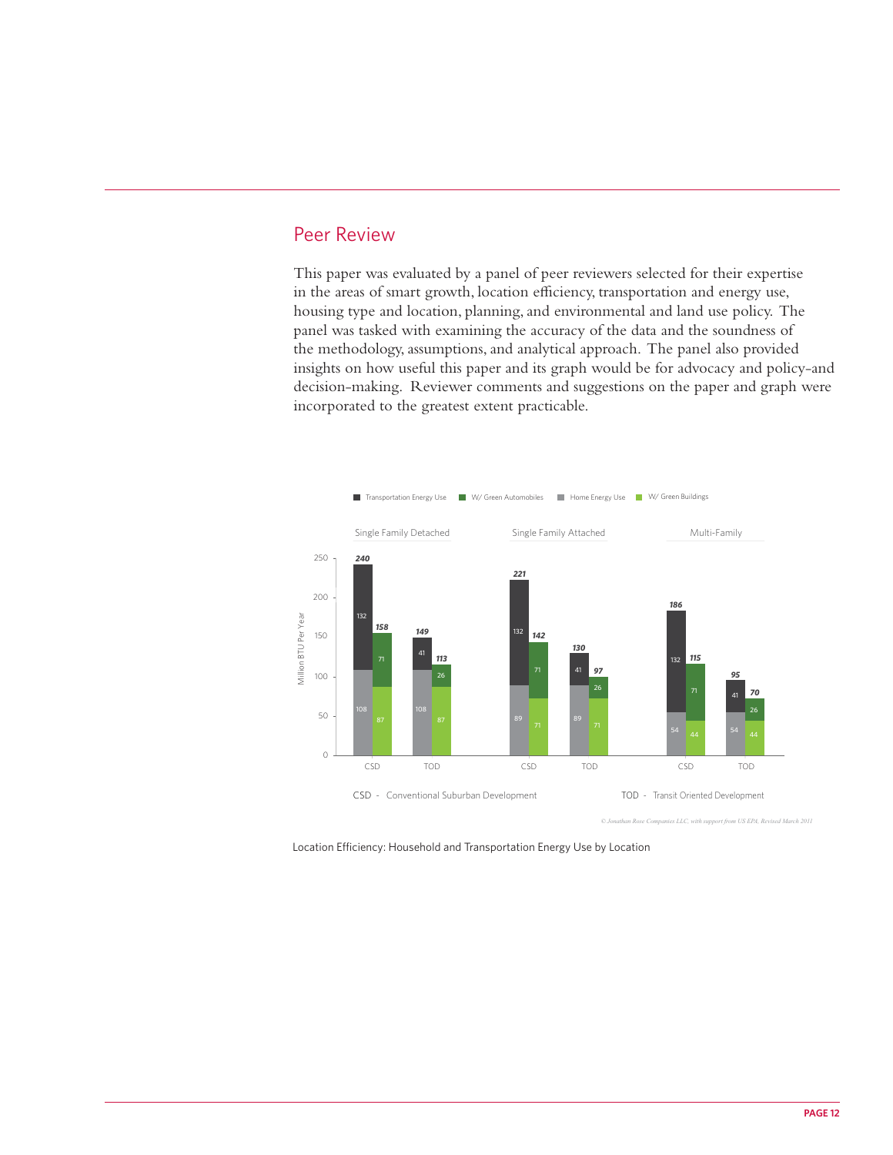### Peer Review

This paper was evaluated by a panel of peer reviewers selected for their expertise in the areas of smart growth, location efficiency, transportation and energy use, housing type and location, planning, and environmental and land use policy. The panel was tasked with examining the accuracy of the data and the soundness of the methodology, assumptions, and analytical approach. The panel also provided insights on how useful this paper and its graph would be for advocacy and policy-and decision-making. Reviewer comments and suggestions on the paper and graph were incorporated to the greatest extent practicable.



*© Jonathan Rose Companies LLC, with support from US EPA, Revised March 2011*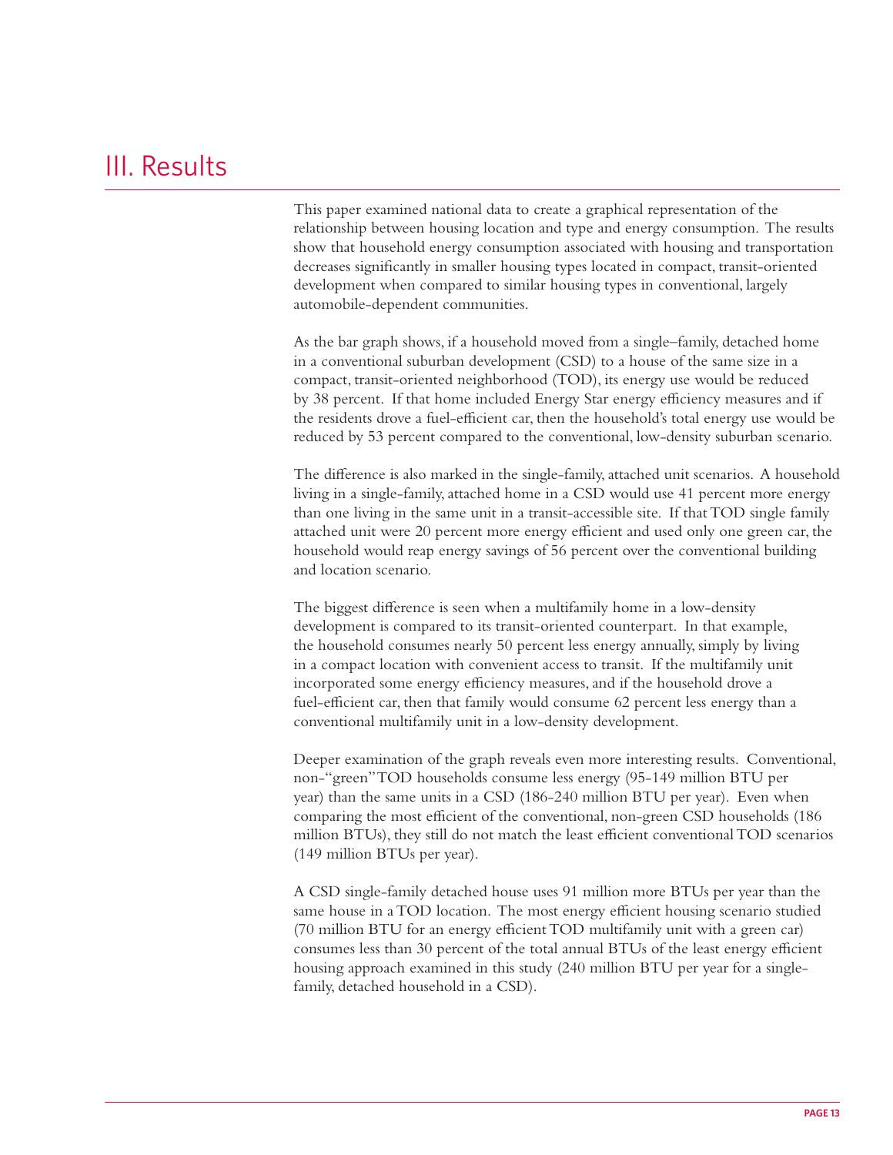### III. Results

This paper examined national data to create a graphical representation of the relationship between housing location and type and energy consumption. The results show that household energy consumption associated with housing and transportation decreases significantly in smaller housing types located in compact, transit-oriented development when compared to similar housing types in conventional, largely automobile-dependent communities.

As the bar graph shows, if a household moved from a single–family, detached home in a conventional suburban development (CSD) to a house of the same size in a compact, transit-oriented neighborhood (TOD), its energy use would be reduced by 38 percent. If that home included Energy Star energy efficiency measures and if the residents drove a fuel-efficient car, then the household's total energy use would be reduced by 53 percent compared to the conventional, low-density suburban scenario.

The difference is also marked in the single-family, attached unit scenarios. A household living in a single-family, attached home in a CSD would use 41 percent more energy than one living in the same unit in a transit-accessible site. If that TOD single family attached unit were 20 percent more energy efficient and used only one green car, the household would reap energy savings of 56 percent over the conventional building and location scenario.

The biggest difference is seen when a multifamily home in a low-density development is compared to its transit-oriented counterpart. In that example, the household consumes nearly 50 percent less energy annually, simply by living in a compact location with convenient access to transit. If the multifamily unit incorporated some energy efficiency measures, and if the household drove a fuel-efficient car, then that family would consume 62 percent less energy than a conventional multifamily unit in a low-density development.

Deeper examination of the graph reveals even more interesting results. Conventional, non-"green" TOD households consume less energy (95-149 million BTU per year) than the same units in a CSD (186-240 million BTU per year). Even when comparing the most efficient of the conventional, non-green CSD households (186 million BTUs), they still do not match the least efficient conventional TOD scenarios (149 million BTUs per year). 

A CSD single-family detached house uses 91 million more BTUs per year than the same house in a TOD location. The most energy efficient housing scenario studied (70 million BTU for an energy efficient TOD multifamily unit with a green car) consumes less than 30 percent of the total annual BTUs of the least energy efficient housing approach examined in this study (240 million BTU per year for a singlefamily, detached household in a CSD).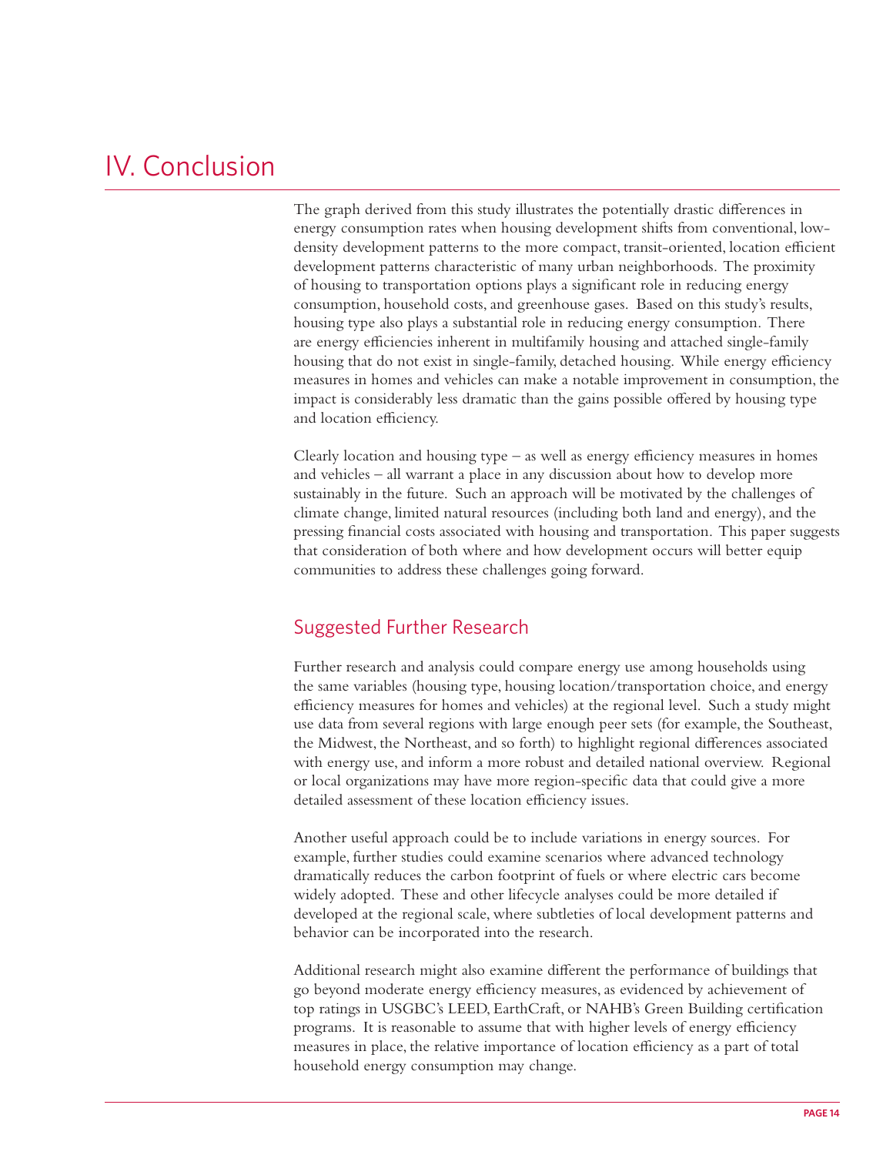## IV. Conclusion

The graph derived from this study illustrates the potentially drastic differences in energy consumption rates when housing development shifts from conventional, lowdensity development patterns to the more compact, transit-oriented, location efficient development patterns characteristic of many urban neighborhoods. The proximity of housing to transportation options plays a significant role in reducing energy consumption, household costs, and greenhouse gases. Based on this study's results, housing type also plays a substantial role in reducing energy consumption. There are energy efficiencies inherent in multifamily housing and attached single-family housing that do not exist in single-family, detached housing. While energy efficiency measures in homes and vehicles can make a notable improvement in consumption, the impact is considerably less dramatic than the gains possible offered by housing type and location efficiency.

Clearly location and housing  $type -$  as well as energy efficiency measures in homes and vehicles  $-$  all warrant a place in any discussion about how to develop more sustainably in the future. Such an approach will be motivated by the challenges of climate change, limited natural resources (including both land and energy), and the pressing financial costs associated with housing and transportation. This paper suggests that consideration of both where and how development occurs will better equip communities to address these challenges going forward.

### Suggested Further Research

Further research and analysis could compare energy use among households using the same variables (housing type, housing location/transportation choice, and energy efficiency measures for homes and vehicles) at the regional level. Such a study might use data from several regions with large enough peer sets (for example, the Southeast, the Midwest, the Northeast, and so forth) to highlight regional differences associated with energy use, and inform a more robust and detailed national overview. Regional or local organizations may have more region-specific data that could give a more detailed assessment of these location efficiency issues.

Another useful approach could be to include variations in energy sources. For example, further studies could examine scenarios where advanced technology dramatically reduces the carbon footprint of fuels or where electric cars become widely adopted. These and other lifecycle analyses could be more detailed if developed at the regional scale, where subtleties of local development patterns and behavior can be incorporated into the research.

Additional research might also examine different the performance of buildings that go beyond moderate energy efficiency measures, as evidenced by achievement of top ratings in USGBC's LEED, EarthCraft, or NAHB's Green Building certification programs. It is reasonable to assume that with higher levels of energy efficiency measures in place, the relative importance of location efficiency as a part of total household energy consumption may change.